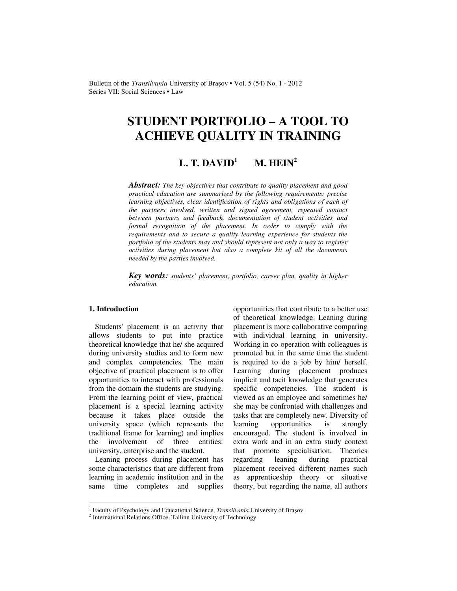Bulletin of the *Transilvania* University of Braşov • Vol. 5 (54) No. 1 - 2012 Series VII: Social Sciences • Law

# **STUDENT PORTFOLIO – A TOOL TO ACHIEVE QUALITY IN TRAINING**

#### $L$ . **T.** DAVID<sup>1</sup>  $M.$  **HEIN**<sup>2</sup>

*Abstract: The key objectives that contribute to quality placement and good practical education are summarized by the following requirements: precise learning objectives, clear identification of rights and obligations of each of the partners involved, written and signed agreement, repeated contact between partners and feedback, documentation of student activities and formal recognition of the placement. In order to comply with the requirements and to secure a quality learning experience for students the portfolio of the students may and should represent not only a way to register activities during placement but also a complete kit of all the documents needed by the parties involved.* 

*Key words: students' placement, portfolio, career plan, quality in higher education.*

# **1. Introduction**

Students' placement is an activity that allows students to put into practice theoretical knowledge that he/ she acquired during university studies and to form new and complex competencies. The main objective of practical placement is to offer opportunities to interact with professionals from the domain the students are studying. From the learning point of view, practical placement is a special learning activity because it takes place outside the university space (which represents the traditional frame for learning) and implies the involvement of three entities: university, enterprise and the student.

Leaning process during placement has some characteristics that are different from learning in academic institution and in the same time completes and supplies

opportunities that contribute to a better use of theoretical knowledge. Leaning during placement is more collaborative comparing with individual learning in university. Working in co-operation with colleagues is promoted but in the same time the student is required to do a job by him/ herself. Learning during placement produces implicit and tacit knowledge that generates specific competencies. The student is viewed as an employee and sometimes he/ she may be confronted with challenges and tasks that are completely new. Diversity of learning opportunities is strongly encouraged. The student is involved in extra work and in an extra study context that promote specialisation. Theories regarding leaning during practical placement received different names such as apprenticeship theory or situative theory, but regarding the name, all authors

 1 Faculty of Psychology and Educational Science, *Transilvania* University of Braşov.

<sup>&</sup>lt;sup>2</sup> International Relations Office, Tallinn University of Technology.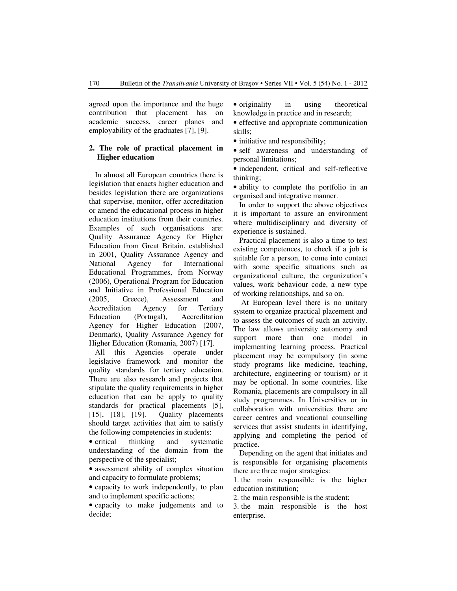agreed upon the importance and the huge contribution that placement has on academic success, career planes and employability of the graduates [7], [9].

# **2. The role of practical placement in Higher education**

In almost all European countries there is legislation that enacts higher education and besides legislation there are organizations that supervise, monitor, offer accreditation or amend the educational process in higher education institutions from their countries. Examples of such organisations are: Quality Assurance Agency for Higher Education from Great Britain, established in 2001, Quality Assurance Agency and National Agency for International Educational Programmes, from Norway (2006), Operational Program for Education and Initiative in Professional Education (2005, Greece), Assessment and Accreditation Agency for Tertiary Education (Portugal), Accreditation Agency for Higher Education (2007, Denmark), Quality Assurance Agency for Higher Education (Romania, 2007) [17].

All this Agencies operate under legislative framework and monitor the quality standards for tertiary education. There are also research and projects that stipulate the quality requirements in higher education that can be apply to quality standards for practical placements [5], [15], [18], [19]. Quality placements should target activities that aim to satisfy the following competencies in students:

• critical thinking and systematic understanding of the domain from the perspective of the specialist;

• assessment ability of complex situation and capacity to formulate problems;

• capacity to work independently, to plan and to implement specific actions;

• capacity to make judgements and to decide;

• originality in using theoretical knowledge in practice and in research;

• effective and appropriate communication skills;

• initiative and responsibility;

• self awareness and understanding of personal limitations;

• independent, critical and self-reflective thinking;

• ability to complete the portfolio in an organised and integrative manner.

In order to support the above objectives it is important to assure an environment where multidisciplinary and diversity of experience is sustained.

Practical placement is also a time to test existing competences, to check if a job is suitable for a person, to come into contact with some specific situations such as organizational culture, the organization's values, work behaviour code, a new type of working relationships, and so on.

 At European level there is no unitary system to organize practical placement and to assess the outcomes of such an activity. The law allows university autonomy and support more than one model in implementing learning process. Practical placement may be compulsory (in some study programs like medicine, teaching, architecture, engineering or tourism) or it may be optional. In some countries, like Romania, placements are compulsory in all study programmes. In Universities or in collaboration with universities there are career centres and vocational counselling services that assist students in identifying, applying and completing the period of practice.

Depending on the agent that initiates and is responsible for organising placements there are three major strategies:

1. the main responsible is the higher education institution;

2. the main responsible is the student;

3. the main responsible is the host enterprise.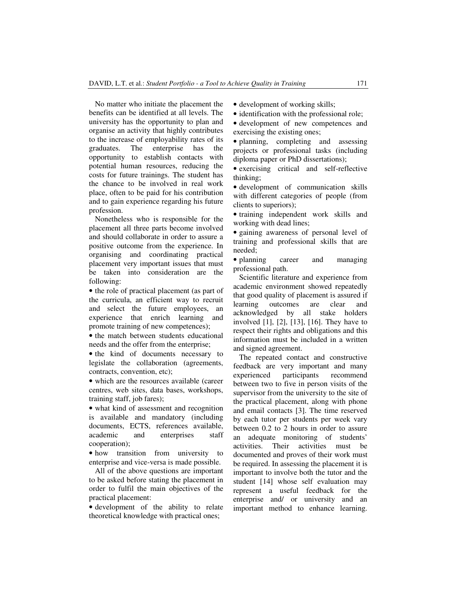No matter who initiate the placement the benefits can be identified at all levels. The university has the opportunity to plan and organise an activity that highly contributes to the increase of employability rates of its graduates. The enterprise has the opportunity to establish contacts with potential human resources, reducing the costs for future trainings. The student has the chance to be involved in real work place, often to be paid for his contribution and to gain experience regarding his future profession.

Nonetheless who is responsible for the placement all three parts become involved and should collaborate in order to assure a positive outcome from the experience. In organising and coordinating practical placement very important issues that must be taken into consideration are the following:

• the role of practical placement (as part of the curricula, an efficient way to recruit and select the future employees, an experience that enrich learning and promote training of new competences);

• the match between students educational needs and the offer from the enterprise;

• the kind of documents necessary to legislate the collaboration (agreements, contracts, convention, etc);

• which are the resources available (career centres, web sites, data bases, workshops, training staff, job fares);

• what kind of assessment and recognition is available and mandatory (including documents, ECTS, references available, academic and enterprises staff cooperation);

• how transition from university to enterprise and vice-versa is made possible.

All of the above questions are important to be asked before stating the placement in order to fulfil the main objectives of the practical placement:

• development of the ability to relate theoretical knowledge with practical ones;

• development of working skills;

• identification with the professional role;

• development of new competences and exercising the existing ones;

• planning, completing and assessing projects or professional tasks (including diploma paper or PhD dissertations);

• exercising critical and self-reflective thinking;

• development of communication skills with different categories of people (from clients to superiors);

• training independent work skills and working with dead lines;

• gaining awareness of personal level of training and professional skills that are needed;

• planning career and managing professional path.

Scientific literature and experience from academic environment showed repeatedly that good quality of placement is assured if learning outcomes are clear and acknowledged by all stake holders involved [1], [2], [13], [16]. They have to respect their rights and obligations and this information must be included in a written and signed agreement.

The repeated contact and constructive feedback are very important and many experienced participants recommend between two to five in person visits of the supervisor from the university to the site of the practical placement, along with phone and email contacts [3]. The time reserved by each tutor per students per week vary between 0.2 to 2 hours in order to assure an adequate monitoring of students' activities. Their activities must be documented and proves of their work must be required. In assessing the placement it is important to involve both the tutor and the student [14] whose self evaluation may represent a useful feedback for the enterprise and/ or university and an important method to enhance learning.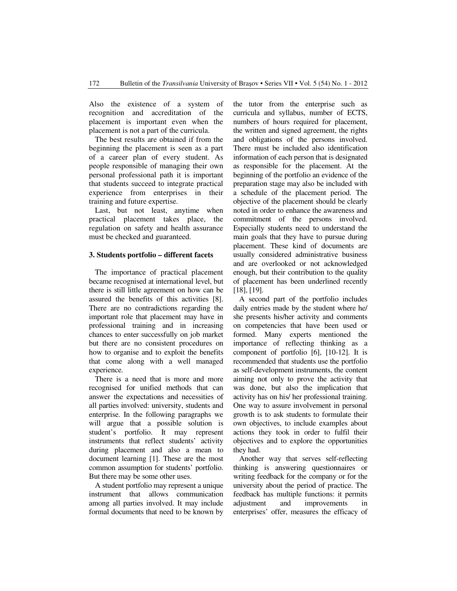Also the existence of a system of recognition and accreditation of the placement is important even when the placement is not a part of the curricula.

The best results are obtained if from the beginning the placement is seen as a part of a career plan of every student. As people responsible of managing their own personal professional path it is important that students succeed to integrate practical experience from enterprises in their training and future expertise.

Last, but not least, anytime when practical placement takes place, the regulation on safety and health assurance must be checked and guaranteed.

### **3. Students portfolio – different facets**

The importance of practical placement became recognised at international level, but there is still little agreement on how can be assured the benefits of this activities [8]. There are no contradictions regarding the important role that placement may have in professional training and in increasing chances to enter successfully on job market but there are no consistent procedures on how to organise and to exploit the benefits that come along with a well managed experience.

There is a need that is more and more recognised for unified methods that can answer the expectations and necessities of all parties involved: university, students and enterprise. In the following paragraphs we will argue that a possible solution is student's portfolio. It may represent instruments that reflect students' activity during placement and also a mean to document learning [1]. These are the most common assumption for students' portfolio. But there may be some other uses.

A student portfolio may represent a unique instrument that allows communication among all parties involved. It may include formal documents that need to be known by the tutor from the enterprise such as curricula and syllabus, number of ECTS, numbers of hours required for placement, the written and signed agreement, the rights and obligations of the persons involved. There must be included also identification information of each person that is designated as responsible for the placement. At the beginning of the portfolio an evidence of the preparation stage may also be included with a schedule of the placement period. The objective of the placement should be clearly noted in order to enhance the awareness and commitment of the persons involved. Especially students need to understand the main goals that they have to pursue during placement. These kind of documents are usually considered administrative business and are overlooked or not acknowledged enough, but their contribution to the quality of placement has been underlined recently [18], [19].

A second part of the portfolio includes daily entries made by the student where he/ she presents his/her activity and comments on competencies that have been used or formed. Many experts mentioned the importance of reflecting thinking as a component of portfolio [6], [10-12]. It is recommended that students use the portfolio as self-development instruments, the content aiming not only to prove the activity that was done, but also the implication that activity has on his/ her professional training. One way to assure involvement in personal growth is to ask students to formulate their own objectives, to include examples about actions they took in order to fulfil their objectives and to explore the opportunities they had.

Another way that serves self-reflecting thinking is answering questionnaires or writing feedback for the company or for the university about the period of practice. The feedback has multiple functions: it permits adjustment and improvements in enterprises' offer, measures the efficacy of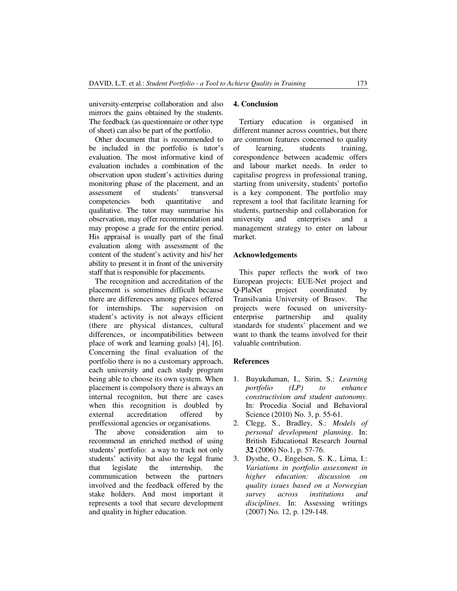university-enterprise collaboration and also mirrors the gains obtained by the students. The feedback (as questionnaire or other type of sheet) can also be part of the portfolio.

Other document that is recommended to be included in the portfolio is tutor's evaluation. The most informative kind of evaluation includes a combination of the observation upon student's activities during monitoring phase of the placement, and an assessment of students' transversal assessment of students' transversal competencies both quantitative and qualitative. The tutor may summarise his observation, may offer recommendation and may propose a grade for the entire period. His appraisal is usually part of the final evaluation along with assessment of the content of the student's activity and his/ her ability to present it in front of the university staff that is responsible for placements.

The recognition and accreditation of the placement is sometimes difficult because there are differences among places offered for internships. The supervision on student's activity is not always efficient (there are physical distances, cultural differences, or incompatibilities between place of work and learning goals) [4], [6]. Concerning the final evaluation of the portfolio there is no a customary approach, each university and each study program being able to choose its own system. When placement is compolsory there is always an internal recogniton, but there are cases when this recognition is doubled by external accreditation offered by proffessional agencies or organisations.

The above consideration aim to recommend an enriched method of using students' portfolio: a way to track not only students' activity but also the legal frame that legislate the internship, the communication between the partners involved and the feedback offered by the stake holders. And most important it represents a tool that secure development and quality in higher education.

#### **4. Conclusion**

Tertiary education is organised in different manner across countries, but there are common features concerned to quality of learning, students training, corespondence between academic offers and labour market needs. In order to capitalise progress in professional traning, starting from university, students' portofio is a key component. The portfolio may represent a tool that facilitate learning for students, partnership and collaboration for<br>university and enterprises and a university and enterprises and a management strategy to enter on labour market.

## **Acknowledgements**

This paper reflects the work of two European projects: EUE-Net project and Q-PlaNet project coordinated by Transilvania University of Brasov. The projects were focused on universityenterprise partnership and quality standards for students' placement and we want to thank the teams involved for their valuable contribution.

# **References**

- 1. Buyukduman, I., Sirin, S.: *Learning portfolio (LP) to enhance constructivism and student autonomy*. In: Procedia Social and Behavioral Science (2010) No. 3, p. 55-61.
- 2. Clegg, S., Bradley, S.: *Models of personal development planning*. In: British Educational Research Journal **32** (2006) No.1, p. 57-76.
- 3. Dysthe, O., Engelsen, S. K., Lima, I.: *Variations in portfolio assessment in higher education: discussion on quality issues based on a Norwegian survey across institutions and disciplines*. In: Assessing writings (2007) No. 12, p. 129-148.